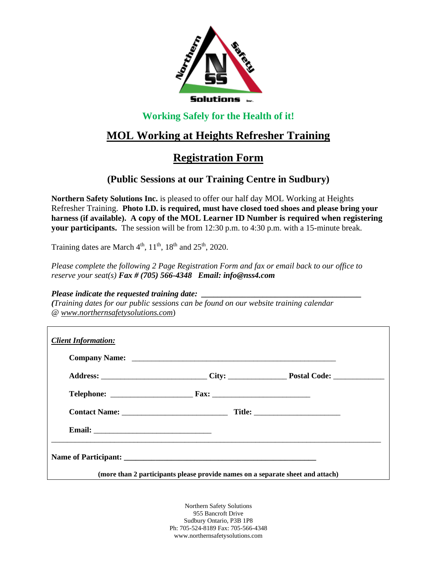

### **Working Safely for the Health of it!**

# **MOL Working at Heights Refresher Training**

## **Registration Form**

### **(Public Sessions at our Training Centre in Sudbury)**

**Northern Safety Solutions Inc.** is pleased to offer our half day MOL Working at Heights Refresher Training. **Photo I.D. is required, must have closed toed shoes and please bring your harness (if available). A copy of the MOL Learner ID Number is required when registering your participants.** The session will be from 12:30 p.m. to 4:30 p.m. with a 15-minute break.

Training dates are March  $4<sup>th</sup>$ ,  $11<sup>th</sup>$ ,  $18<sup>th</sup>$  and  $25<sup>th</sup>$ ,  $2020$ .

*Please complete the following 2 Page Registration Form and fax or email back to our office to reserve your seat(s) Fax # (705) 566-4348 Email: info@nss4.com*

#### *Please indicate the requested training date:*

*(Training dates for our public sessions can be found on our website training calendar @ www.northernsafetysolutions.com*)

| <b>Client Information:</b>  |                                                                                                      |  |
|-----------------------------|------------------------------------------------------------------------------------------------------|--|
|                             |                                                                                                      |  |
|                             | Address: ________________________________City: _______________________Postal Code: _________________ |  |
|                             |                                                                                                      |  |
| Contact Name: Title: Title: |                                                                                                      |  |
|                             |                                                                                                      |  |
|                             |                                                                                                      |  |
|                             | (more than 2 participants please provide names on a separate sheet and attach)                       |  |

Northern Safety Solutions 955 Bancroft Drive Sudbury Ontario, P3B 1P8 Ph: 705-524-8189 Fax: 705-566-4348 www.northernsafetysolutions.com